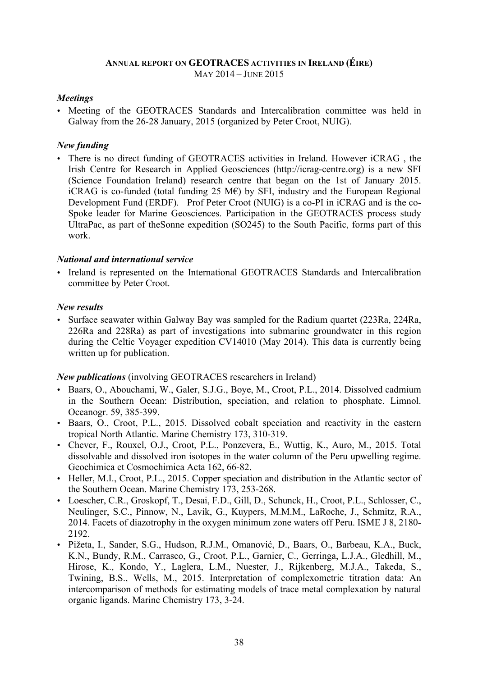#### **ANNUAL REPORT ON GEOTRACES ACTIVITIES IN IRELAND (ÉIRE)** MAY 2014 – JUNE 2015

## *Meetings*

• Meeting of the GEOTRACES Standards and Intercalibration committee was held in Galway from the 26-28 January, 2015 (organized by Peter Croot, NUIG).

### *New funding*

• There is no direct funding of GEOTRACES activities in Ireland. However iCRAG , the Irish Centre for Research in Applied Geosciences (http://icrag-centre.org) is a new SFI (Science Foundation Ireland) research centre that began on the 1st of January 2015. iCRAG is co-funded (total funding 25 M $\varepsilon$ ) by SFI, industry and the European Regional Development Fund (ERDF). Prof Peter Croot (NUIG) is a co-PI in iCRAG and is the co-Spoke leader for Marine Geosciences. Participation in the GEOTRACES process study UltraPac, as part of theSonne expedition (SO245) to the South Pacific, forms part of this work.

### *National and international service*

• Ireland is represented on the International GEOTRACES Standards and Intercalibration committee by Peter Croot.

### *New results*

• Surface seawater within Galway Bay was sampled for the Radium quartet (223Ra, 224Ra, 226Ra and 228Ra) as part of investigations into submarine groundwater in this region during the Celtic Voyager expedition CV14010 (May 2014). This data is currently being written up for publication.

# *New publications* (involving GEOTRACES researchers in Ireland)

- Baars, O., Abouchami, W., Galer, S.J.G., Boye, M., Croot, P.L., 2014. Dissolved cadmium in the Southern Ocean: Distribution, speciation, and relation to phosphate. Limnol. Oceanogr. 59, 385-399.
- Baars, O., Croot, P.L., 2015. Dissolved cobalt speciation and reactivity in the eastern tropical North Atlantic. Marine Chemistry 173, 310-319.
- Chever, F., Rouxel, O.J., Croot, P.L., Ponzevera, E., Wuttig, K., Auro, M., 2015. Total dissolvable and dissolved iron isotopes in the water column of the Peru upwelling regime. Geochimica et Cosmochimica Acta 162, 66-82.
- Heller, M.I., Croot, P.L., 2015. Copper speciation and distribution in the Atlantic sector of the Southern Ocean. Marine Chemistry 173, 253-268.
- Loescher, C.R., Groskopf, T., Desai, F.D., Gill, D., Schunck, H., Croot, P.L., Schlosser, C., Neulinger, S.C., Pinnow, N., Lavik, G., Kuypers, M.M.M., LaRoche, J., Schmitz, R.A., 2014. Facets of diazotrophy in the oxygen minimum zone waters off Peru. ISME J 8, 2180- 2192.
- Pižeta, I., Sander, S.G., Hudson, R.J.M., Omanović, D., Baars, O., Barbeau, K.A., Buck, K.N., Bundy, R.M., Carrasco, G., Croot, P.L., Garnier, C., Gerringa, L.J.A., Gledhill, M., Hirose, K., Kondo, Y., Laglera, L.M., Nuester, J., Rijkenberg, M.J.A., Takeda, S., Twining, B.S., Wells, M., 2015. Interpretation of complexometric titration data: An intercomparison of methods for estimating models of trace metal complexation by natural organic ligands. Marine Chemistry 173, 3-24.